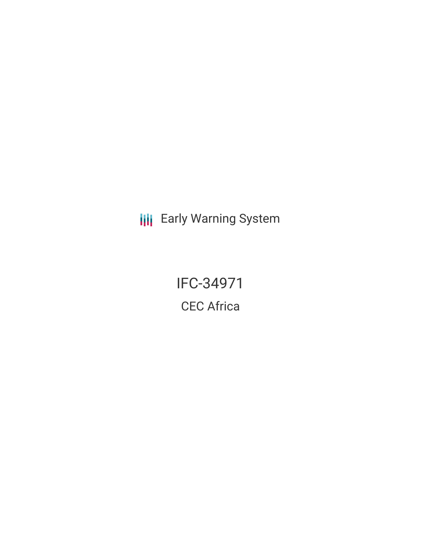**III** Early Warning System

IFC-34971 CEC Africa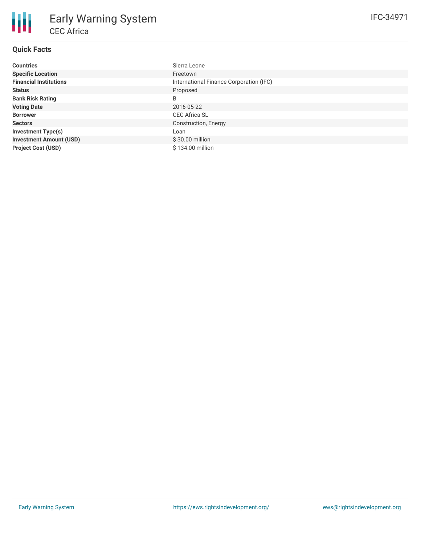# **Quick Facts**

| <b>Countries</b>               | Sierra Leone                            |
|--------------------------------|-----------------------------------------|
| <b>Specific Location</b>       | Freetown                                |
| <b>Financial Institutions</b>  | International Finance Corporation (IFC) |
| <b>Status</b>                  | Proposed                                |
| <b>Bank Risk Rating</b>        | B                                       |
| <b>Voting Date</b>             | 2016-05-22                              |
| <b>Borrower</b>                | <b>CEC Africa SL</b>                    |
| <b>Sectors</b>                 | Construction, Energy                    |
| <b>Investment Type(s)</b>      | Loan                                    |
| <b>Investment Amount (USD)</b> | $$30.00$ million                        |
| <b>Project Cost (USD)</b>      | \$134.00 million                        |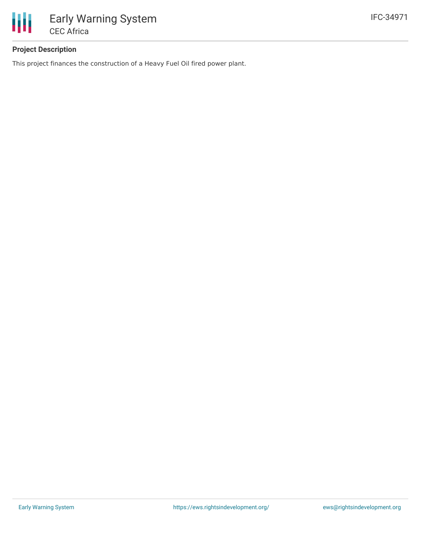

## **Project Description**

This project finances the construction of a Heavy Fuel Oil fired power plant.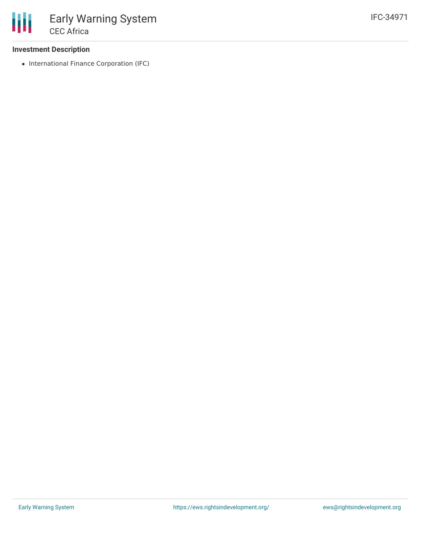## **Investment Description**

• International Finance Corporation (IFC)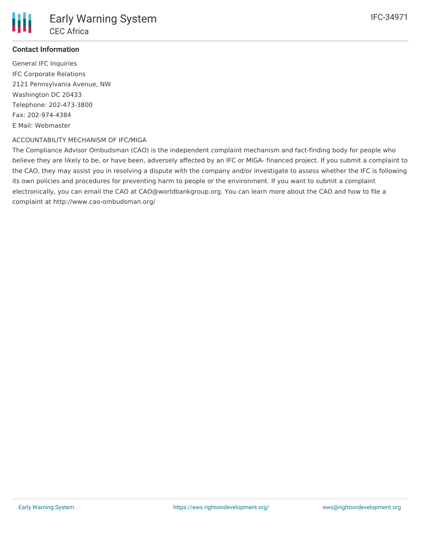

## **Contact Information**

General IFC Inquiries IFC Corporate Relations 2121 Pennsylvania Avenue, NW Washington DC 20433 Telephone: 202-473-3800 Fax: 202-974-4384 E Mail: Webmaster

#### ACCOUNTABILITY MECHANISM OF IFC/MIGA

The Compliance Advisor Ombudsman (CAO) is the independent complaint mechanism and fact-finding body for people who believe they are likely to be, or have been, adversely affected by an IFC or MIGA- financed project. If you submit a complaint to the CAO, they may assist you in resolving a dispute with the company and/or investigate to assess whether the IFC is following its own policies and procedures for preventing harm to people or the environment. If you want to submit a complaint electronically, you can email the CAO at CAO@worldbankgroup.org. You can learn more about the CAO and how to file a complaint at http://www.cao-ombudsman.org/